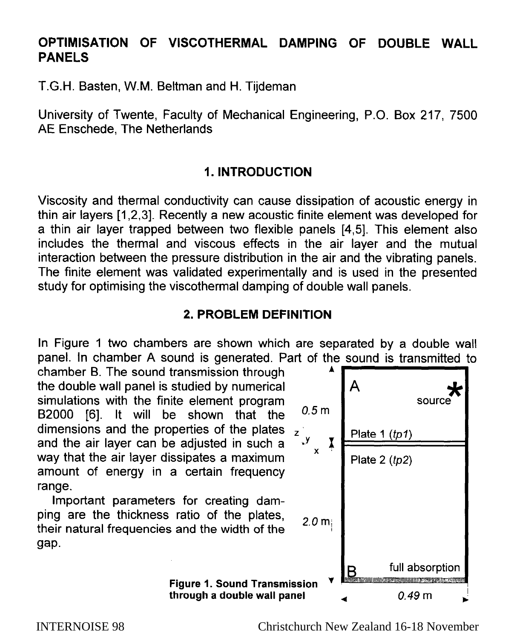# **OPTIMISATION OF VISCOTHERMAL DAMPING OF DOUBLE WALL PANELS**

T.G.H. Basten, W.M. Beltman and H. Tijdeman

University of Twente, Faculty of Mechanical Engineering, P.O. Box 217, 7500 AE Enschede, The Netherlands

# **1. INTRODUCTION**

Viscosity and thermal conductivity can cause dissipation of acoustic energy in thin air layers [I ,2,3]. Recently a new acoustic finite element was developed for a thin air layer trapped between two flexible panels [4,5]. This element also includes the thermal and viscous effects in the air layer and the mutual interaction between the pressure distribution in the air and the vibrating panels. The finite element was validated experimentally and is used in the presented study for optimising the viscothermal damping of double wall panels.

# **2. PROBLEM DEFINITION**

In Figure 1 two chambers are shown which are separated by a double wall panel. In chamber A sound is generated. Part of the sound is transmitted to

chamber B. The sound transmission through the double wall panel is studied by numerical  $\blacksquare$  A simulations with the finite element program B2000 [6]. It will be shown that the  $0.5 \text{ m}$ dimensions and the properties of the plates z<br>and the air layer can be adjusted in such a and the air layer can be adjusted in such a  $\frac{y}{x}$ way that the air layer dissipates a maximum amount of energy in a certain frequency range.

Important parameters for creating damping are the thickness ratio of the plates, their natural frequencies and the width of the  $2.0 \text{ m}$ gap.

> **Figure 1. Sound Transmission through a double wall panel 4 contract 1 contract 1 contract 1 contract 1 contract 1 contract 1 contract 1 contract 1 contract 1 contract 1 contract 1 contract 1 contract 1 contract 1 contract 1 contract 1 contract 1 cont**



INTERNOISE 98 Christchurch New Zealand 16-18 November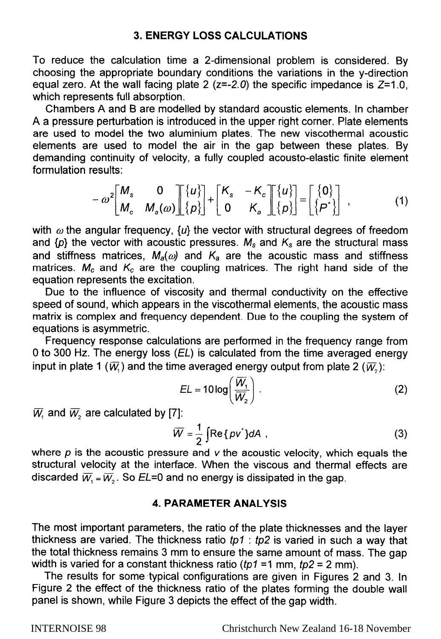# **3. ENERGY LOSS CALCULATIONS**

To reduce the calculation time a 2-dimensional problem is considered. By choosing the appropriate boundary conditions the variations in the y-direction equal zero. At the wall facing plate 2 ( $z=-2.0$ ) the specific impedance is  $Z=1.0$ , which represents full absorption.

Chambers A and B are modelled by standard acoustic elements. In chamber A a pressure perturbation is introduced in the upper right corner. Plate elements are used to model the two aluminium plates. The new viscothermal acoustic elements are used to model the air in the gap between these plates. By demanding continuity of velocity, a fully coupled acousto-elastic finite element formulation results:

$$
-\omega^2 \begin{bmatrix} M_s & 0 \\ M_c & M_a(\omega) \end{bmatrix} \begin{bmatrix} \{u\} \\ \{p\} \end{bmatrix} + \begin{bmatrix} K_s & -K_c \\ 0 & K_a \end{bmatrix} \begin{bmatrix} \{u\} \\ \{p\} \end{bmatrix} = \begin{bmatrix} \{0\} \\ \{p^*\} \end{bmatrix},
$$
(1)

with  $\omega$  the angular frequency,  $\{u\}$  the vector with structural degrees of freedom and  $\{p\}$  the vector with acoustic pressures.  $M_s$  and  $K_s$  are the structural mass and stiffness matrices,  $M_a(\omega)$  and  $K_a$  are the acoustic mass and stiffness matrices.  $M_c$  and  $K_c$  are the coupling matrices. The right hand side of the equation represents the excitation.

Due to the influence of viscosity and thermal conductivity on the effective speed of sound, which appears in the viscothermal elements, the acoustic mass matrix is complex and frequency dependent. Due to the coupling the system of equations is asymmetric.

Frequency response calculations are performed in the frequency range from 0 to 300 Hz. The energy loss  $(EL)$  is calculated from the time averaged energy input in plate 1 ( $\overline{W}_1$ ) and the time averaged energy output from plate 2 ( $\overline{W}_2$ ):

$$
EL = 10 \log \left( \frac{\overline{W}_1}{\overline{W}_2} \right).
$$
 (2)

 $\overline{W}_1$  and  $\overline{W}_2$  are calculated by [7]:

$$
\overline{W} = \frac{1}{2} \int \text{Re} \{p v^2\} dA \tag{3}
$$

where  $p$  is the acoustic pressure and  $v$  the acoustic velocity, which equals the structural velocity at the interface. When the viscous and thermal effects are discarded  $\overline{W}_1 = \overline{W}_2$ . So EL=0 and no energy is dissipated in the gap.

#### **4. PARAMETER ANALYSIS**

The most important parameters, the ratio of the plate thicknesses and the layer thickness are varied. The thickness ratio *fp?* : *tp2* is varied in such a way that the total thickness remains 3 mm to ensure the same amount of mass. The gap width is varied for a constant thickness ratio *(tp1* = 1 mm, *tp2* = 2 mm).

The results for some-typical configurations are given in Figures 2 and 3. In Figure 2 the effect of the thickness ratio of the plates forming the double wall panel is shown, while Figure 3 depicts the effect of the gap width.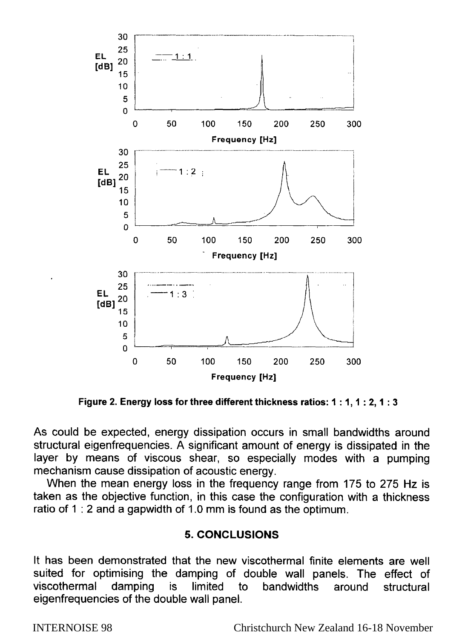

**Figure 2. Energy loss for three different thickness ratios: 1:1, 1:2, 1:3** 

As could be expected, energy dissipation occurs in small bandwidths around structural eigenfrequencies. A significant amount of energy is dissipated in the layer by means of viscous shear, so especially modes with a pumping mechanism cause dissipation of acoustic energy.

When the mean energy loss in the frequency range from 175 to 275 Hz is taken as the objective function, in this case the configuration with a thickness ratio of 1 : 2 and a gapwidth of 1.0 mm is found as the optimum.

### **5. CONCLUSIONS**

It has been demonstrated that the new viscothermal finite elements are well suited for optimising the damping of double wall panels. The effect of viscothermal damping is limited to bandwidths around structural eigenfrequencies of the double wall panel.

INTERNOISE 98 Christchurch New Zealand 16-18 November